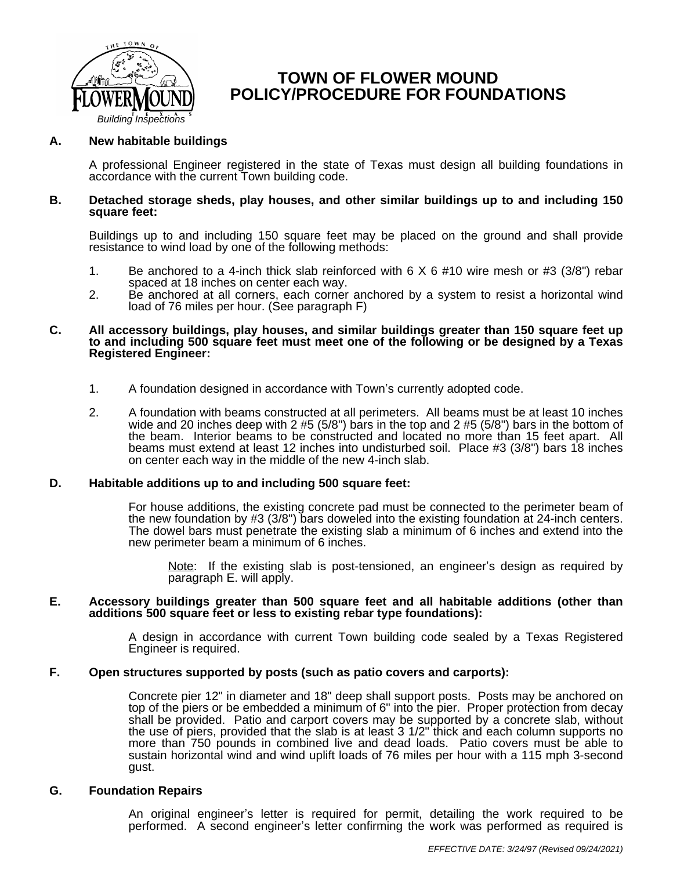

# **TOWN OF FLOWER MOUND POLICY/PROCEDURE FOR FOUNDATIONS**

## **A. New habitable buildings**

A professional Engineer registered in the state of Texas must design all building foundations in accordance with the current Town building code.

#### **B. Detached storage sheds, play houses, and other similar buildings up to and including 150 square feet:**

Buildings up to and including 150 square feet may be placed on the ground and shall provide resistance to wind load by one of the following methods:

- 1. Be anchored to a 4-inch thick slab reinforced with 6 X 6 #10 wire mesh or #3 (3/8") rebar spaced at 18 inches on center each way.
- 2. Be anchored at all corners, each corner anchored by a system to resist a horizontal wind load of 76 miles per hour. (See paragraph F)

#### **C. All accessory buildings, play houses, and similar buildings greater than 150 square feet up to and including 500 square feet must meet one of the following or be designed by a Texas Registered Engineer:**

- 1. A foundation designed in accordance with Town's currently adopted code.
- 2. A foundation with beams constructed at all perimeters. All beams must be at least 10 inches wide and 20 inches deep with 2 #5 (5/8") bars in the top and 2 #5 (5/8") bars in the bottom of the beam. Interior beams to be constructed and located no more than 15 feet apart. All beams must extend at least 12 inches into undisturbed soil. Place #3 (3/8") bars 18 inches on center each way in the middle of the new 4-inch slab.

#### **D. Habitable additions up to and including 500 square feet:**

For house additions, the existing concrete pad must be connected to the perimeter beam of the new foundation by #3 (3/8") bars doweled into the existing foundation at 24-inch centers. The dowel bars must penetrate the existing slab a minimum of 6 inches and extend into the new perimeter beam a minimum of 6 inches.

Note: If the existing slab is post-tensioned, an engineer's design as required by paragraph E. will apply.

#### **E. Accessory buildings greater than 500 square feet and all habitable additions (other than additions 500 square feet or less to existing rebar type foundations):**

A design in accordance with current Town building code sealed by a Texas Registered Engineer is required.

## **F. Open structures supported by posts (such as patio covers and carports):**

Concrete pier 12" in diameter and 18" deep shall support posts. Posts may be anchored on top of the piers or be embedded a minimum of 6" into the pier. Proper protection from decay shall be provided. Patio and carport covers may be supported by a concrete slab, without the use of piers, provided that the slab is at least 3 1/2" thick and each column supports no more than 750 pounds in combined live and dead loads. Patio covers must be able to sustain horizontal wind and wind uplift loads of 76 miles per hour with a 115 mph 3-second gust.

### **G. Foundation Repairs**

An original engineer's letter is required for permit, detailing the work required to be performed. A second engineer's letter confirming the work was performed as required is